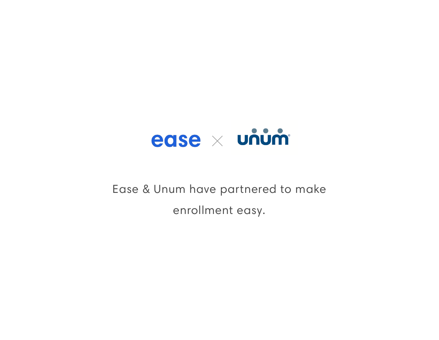

# Ease & Unum have partnered to make enrollment easy.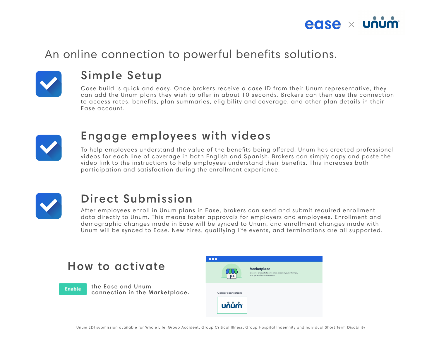## An online connection to powerful benefits solutions.



## Simple Setup

Case build is quick and easy. Once brokers receive a case ID from their Unum representative, they can add the Unum plans they wish to ofer in about 10 seconds. Brokers can then use the connection to access rates, benefits, plan summaries, eligibility and coverage, and other plan details in their Ease account.



To help employees understand the value of the benefits being offered, Unum has created professional videos for each line of coverage in both English and Spanish. Brokers can simply copy and paste the video link to the instructions to help employees understand their benefits. This increases both participation and satisfaction during the enrollment experience.



### Engage employees with videos

# Direct Submission

After employees enroll in Unum plans in Ease, brokers can send and submit required enrollment data directly to Unum. This means faster approvals for employers and employees. Enrollment and demographic changes made in Ease will be synced to Unum, and enrollment changes made with Unum will be synced to Ease. New hires, qualifying life events, and terminations are all supported.

#### How to activate

Enable

the Ease and Unum connection in the Marketplace.